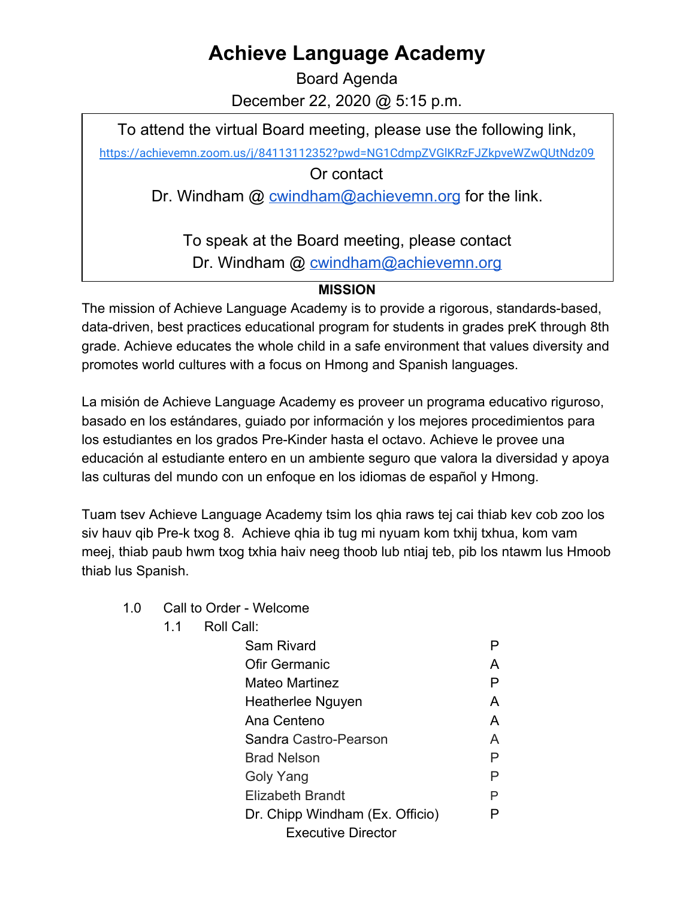## **Achieve Language Academy**

Board Agenda December 22, 2020 @ 5:15 p.m.

To attend the virtual Board meeting, please use the following link,

<https://achievemn.zoom.us/j/84113112352?pwd=NG1CdmpZVGlKRzFJZkpveWZwQUtNdz09>

Or contact

Dr. Windham @ [cwindham@achievemn.org](mailto:cwindham@achievemn.org) for the link.

To speak at the Board meeting, please contact Dr. Windham @ [cwindham@achievemn.org](mailto:cwindham@achievemn.org)

## **MISSION**

The mission of Achieve Language Academy is to provide a rigorous, standards-based, data-driven, best practices educational program for students in grades preK through 8th grade. Achieve educates the whole child in a safe environment that values diversity and promotes world cultures with a focus on Hmong and Spanish languages.

La misión de Achieve Language Academy es proveer un programa educativo riguroso, basado en los estándares, guiado por información y los mejores procedimientos para los estudiantes en los grados Pre-Kinder hasta el octavo. Achieve le provee una educación al estudiante entero en un ambiente seguro que valora la diversidad y apoya las culturas del mundo con un enfoque en los idiomas de español y Hmong.

Tuam tsev Achieve Language Academy tsim los qhia raws tej cai thiab kev cob zoo los siv hauv qib Pre-k txog 8. Achieve qhia ib tug mi nyuam kom txhij txhua, kom vam meej, thiab paub hwm txog txhia haiv neeg thoob lub ntiaj teb, pib los ntawm lus Hmoob thiab lus Spanish.

- 1.0 Call to Order Welcome
	- 1.1 Roll Call:

| Sam Rivard                      |   |
|---------------------------------|---|
| <b>Ofir Germanic</b>            | А |
| Mateo Martinez                  | Р |
| Heatherlee Nguyen               | A |
| Ana Centeno                     | A |
| Sandra Castro-Pearson           | A |
| <b>Brad Nelson</b>              | Р |
| Goly Yang                       | P |
| Elizabeth Brandt                | P |
| Dr. Chipp Windham (Ex. Officio) | P |
| <b>Executive Director</b>       |   |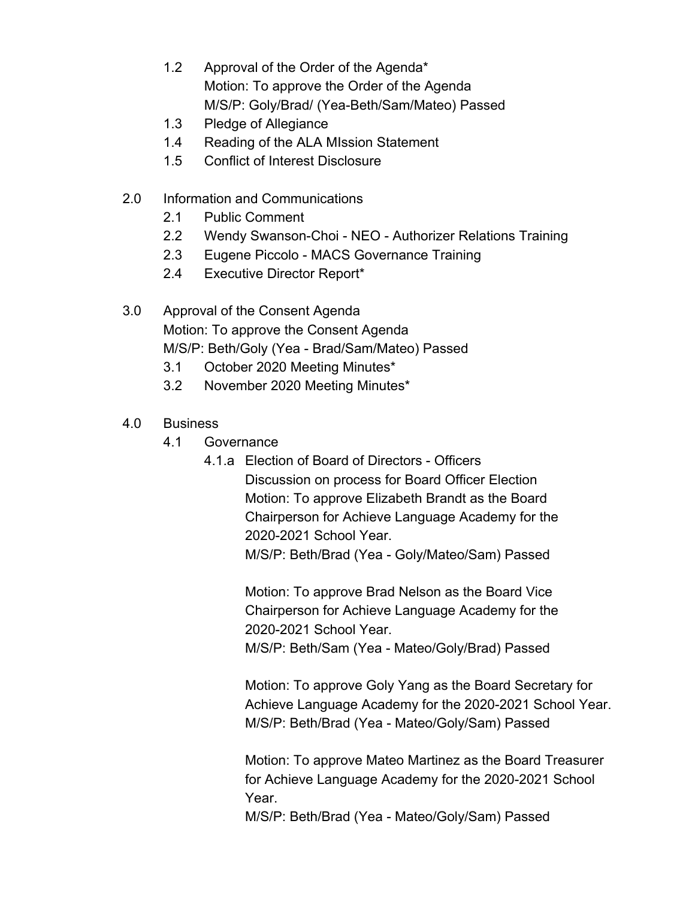- 1.2 Approval of the Order of the Agenda\* Motion: To approve the Order of the Agenda M/S/P: Goly/Brad/ (Yea-Beth/Sam/Mateo) Passed
- 1.3 Pledge of Allegiance
- 1.4 Reading of the ALA MIssion Statement
- 1.5 Conflict of Interest Disclosure
- 2.0 Information and Communications
	- 2.1 Public Comment
	- 2.2 Wendy Swanson-Choi NEO Authorizer Relations Training
	- 2.3 Eugene Piccolo MACS Governance Training
	- 2.4 Executive Director Report\*
- 3.0 Approval of the Consent Agenda Motion: To approve the Consent Agenda M/S/P: Beth/Goly (Yea - Brad/Sam/Mateo) Passed
	- 3.1 October 2020 Meeting Minutes\*
	- 3.2 November 2020 Meeting Minutes\*
- 4.0 Business
	- 4.1 Governance
		- 4.1.a Election of Board of Directors Officers
			- Discussion on process for Board Officer Election Motion: To approve Elizabeth Brandt as the Board Chairperson for Achieve Language Academy for the 2020-2021 School Year.

M/S/P: Beth/Brad (Yea - Goly/Mateo/Sam) Passed

Motion: To approve Brad Nelson as the Board Vice Chairperson for Achieve Language Academy for the 2020-2021 School Year.

M/S/P: Beth/Sam (Yea - Mateo/Goly/Brad) Passed

Motion: To approve Goly Yang as the Board Secretary for Achieve Language Academy for the 2020-2021 School Year. M/S/P: Beth/Brad (Yea - Mateo/Goly/Sam) Passed

Motion: To approve Mateo Martinez as the Board Treasurer for Achieve Language Academy for the 2020-2021 School Year.

M/S/P: Beth/Brad (Yea - Mateo/Goly/Sam) Passed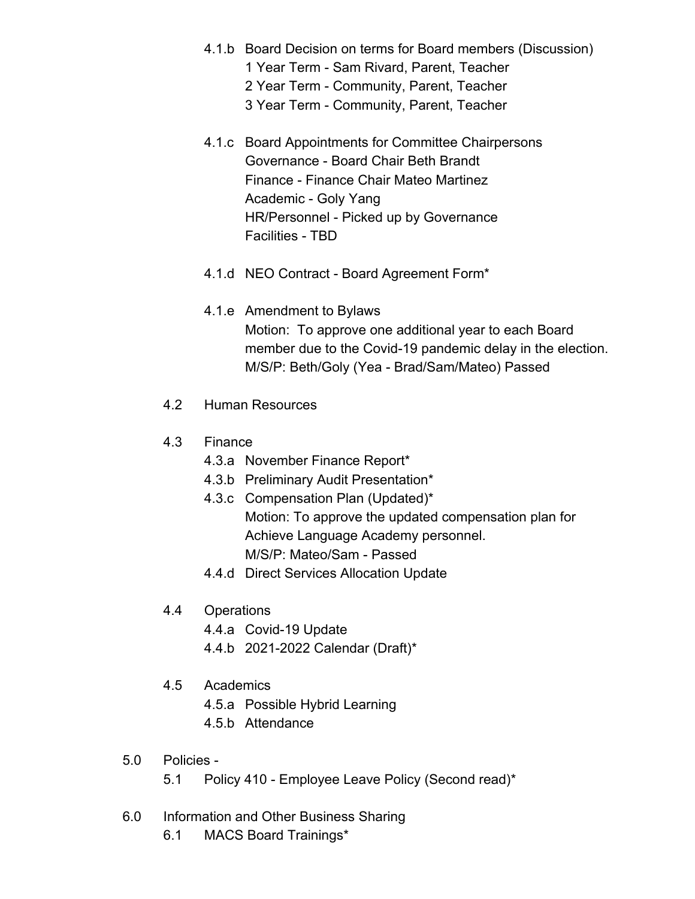- 4.1.b Board Decision on terms for Board members (Discussion) 1 Year Term - Sam Rivard, Parent, Teacher
	- 2 Year Term Community, Parent, Teacher
	- 3 Year Term Community, Parent, Teacher
- 4.1.c Board Appointments for Committee Chairpersons Governance - Board Chair Beth Brandt Finance - Finance Chair Mateo Martinez Academic - Goly Yang HR/Personnel - Picked up by Governance Facilities - TBD
- 4.1.d NEO Contract Board Agreement Form\*
- 4.1.e Amendment to Bylaws Motion: To approve one additional year to each Board member due to the Covid-19 pandemic delay in the election. M/S/P: Beth/Goly (Yea - Brad/Sam/Mateo) Passed
- 4.2 Human Resources
- 4.3 Finance
	- 4.3.a November Finance Report\*
	- 4.3.b Preliminary Audit Presentation\*
	- 4.3.c Compensation Plan (Updated)\* Motion: To approve the updated compensation plan for Achieve Language Academy personnel. M/S/P: Mateo/Sam - Passed
	- 4.4.d Direct Services Allocation Update
- 4.4 Operations
	- 4.4.a Covid-19 Update
	- 4.4.b 2021-2022 Calendar (Draft)\*
- 4.5 Academics
	- 4.5.a Possible Hybrid Learning
	- 4.5.b Attendance
- 5.0 Policies
	- 5.1 Policy 410 Employee Leave Policy (Second read)\*
- 6.0 Information and Other Business Sharing
	- 6.1 MACS Board Trainings\*